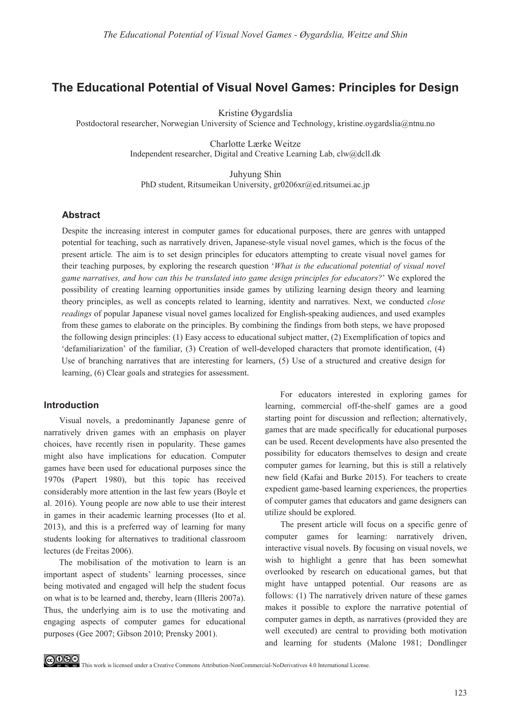# **The Educational Potential of Visual Novel Games: Principles for Design**

Kristine Øygardslia

Postdoctoral researcher, Norwegian University of Science and Technology, kristine.oygardslia@ntnu.no

Charlotte Lærke Weitze Independent researcher, Digital and Creative Learning Lab, clw@dcll.dk

Juhyung Shin PhD student, Ritsumeikan University, gr0206xr@ed.ritsumei.ac.jp

### **Abstract**

Despite the increasing interest in computer games for educational purposes, there are genres with untapped potential for teaching, such as narratively driven, Japanese-style visual novel games, which is the focus of the present article*.* The aim is to set design principles for educators attempting to create visual novel games for their teaching purposes, by exploring the research question '*What is the educational potential of visual novel game narratives, and how can this be translated into game design principles for educators?*' We explored the possibility of creating learning opportunities inside games by utilizing learning design theory and learning theory principles, as well as concepts related to learning, identity and narratives. Next, we conducted *close readings* of popular Japanese visual novel games localized for English-speaking audiences, and used examples from these games to elaborate on the principles. By combining the findings from both steps, we have proposed the following design principles: (1) Easy access to educational subject matter, (2) Exemplification of topics and 'defamiliarization' of the familiar, (3) Creation of well-developed characters that promote identification, (4) Use of branching narratives that are interesting for learners, (5) Use of a structured and creative design for learning, (6) Clear goals and strategies for assessment.

#### **Introduction**

Visual novels, a predominantly Japanese genre of narratively driven games with an emphasis on player choices, have recently risen in popularity. These games might also have implications for education. Computer games have been used for educational purposes since the 1970s (Papert 1980), but this topic has received considerably more attention in the last few years (Boyle et al. 2016). Young people are now able to use their interest in games in their academic learning processes (Ito et al. 2013), and this is a preferred way of learning for many students looking for alternatives to traditional classroom lectures (de Freitas 2006).

The mobilisation of the motivation to learn is an important aspect of students' learning processes, since being motivated and engaged will help the student focus on what is to be learned and, thereby, learn (Illeris 2007a). Thus, the underlying aim is to use the motivating and engaging aspects of computer games for educational purposes (Gee 2007; Gibson 2010; Prensky 2001).

For educators interested in exploring games for learning, commercial off-the-shelf games are a good starting point for discussion and reflection; alternatively, games that are made specifically for educational purposes can be used. Recent developments have also presented the possibility for educators themselves to design and create computer games for learning, but this is still a relatively new field (Kafai and Burke 2015). For teachers to create expedient game-based learning experiences, the properties of computer games that educators and game designers can utilize should be explored.

The present article will focus on a specific genre of computer games for learning: narratively driven, interactive visual novels. By focusing on visual novels, we wish to highlight a genre that has been somewhat overlooked by research on educational games, but that might have untapped potential. Our reasons are as follows: (1) The narratively driven nature of these games makes it possible to explore the narrative potential of computer games in depth, as narratives (provided they are well executed) are central to providing both motivation and learning for students (Malone 1981; Dondlinger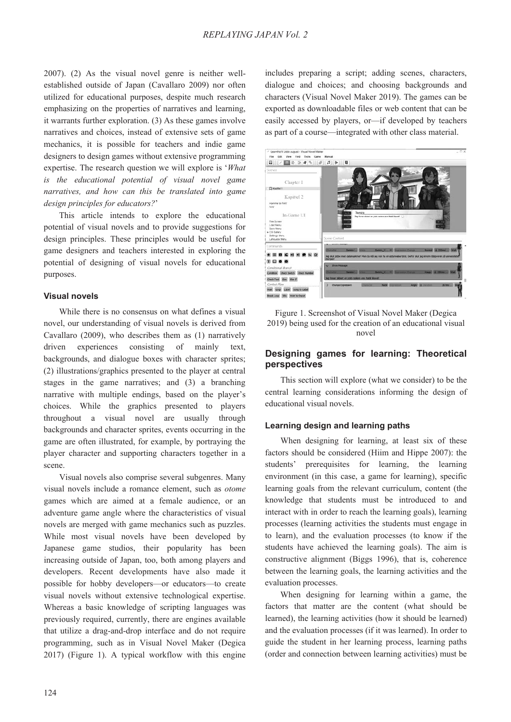2007). (2) As the visual novel genre is neither wellestablished outside of Japan (Cavallaro 2009) nor often utilized for educational purposes, despite much research emphasizing on the properties of narratives and learning, it warrants further exploration. (3) As these games involve narratives and choices, instead of extensive sets of game mechanics, it is possible for teachers and indie game designers to design games without extensive programming expertise. The research question we will explore is '*What is the educational potential of visual novel game narratives, and how can this be translated into game design principles for educators?*'

This article intends to explore the educational potential of visual novels and to provide suggestions for design principles. These principles would be useful for game designers and teachers interested in exploring the potential of designing of visual novels for educational purposes.

### **Visual novels**

While there is no consensus on what defines a visual novel, our understanding of visual novels is derived from Cavallaro (2009), who describes them as (1) narratively driven experiences consisting of mainly text, backgrounds, and dialogue boxes with character sprites; (2) illustrations/graphics presented to the player at central stages in the game narratives; and (3) a branching narrative with multiple endings, based on the player's choices. While the graphics presented to players throughout a visual novel are usually through backgrounds and character sprites, events occurring in the game are often illustrated, for example, by portraying the player character and supporting characters together in a scene.

Visual novels also comprise several subgenres. Many visual novels include a romance element, such as *otome* games which are aimed at a female audience, or an adventure game angle where the characteristics of visual novels are merged with game mechanics such as puzzles. While most visual novels have been developed by Japanese game studios, their popularity has been increasing outside of Japan, too, both among players and developers. Recent developments have also made it possible for hobby developers—or educators—to create visual novels without extensive technological expertise. Whereas a basic knowledge of scripting languages was previously required, currently, there are engines available that utilize a drag-and-drop interface and do not require programming, such as in Visual Novel Maker (Degica 2017) (Figure 1). A typical workflow with this engine

includes preparing a script; adding scenes, characters, dialogue and choices; and choosing backgrounds and characters (Visual Novel Maker 2019). The games can be exported as downloadable files or web content that can be easily accessed by players, or—if developed by teachers as part of a course—integrated with other class material.



Figure 1. Screenshot of Visual Novel Maker (Degica 2019) being used for the creation of an educational visual novel

### **Designing games for learning: Theoretical perspectives**

This section will explore (what we consider) to be the central learning considerations informing the design of educational visual novels.

### **Learning design and learning paths**

When designing for learning, at least six of these factors should be considered (Hiim and Hippe 2007): the students' prerequisites for learning, the learning environment (in this case, a game for learning), specific learning goals from the relevant curriculum, content (the knowledge that students must be introduced to and interact with in order to reach the learning goals), learning processes (learning activities the students must engage in to learn), and the evaluation processes (to know if the students have achieved the learning goals). The aim is constructive alignment (Biggs 1996), that is, coherence between the learning goals, the learning activities and the evaluation processes.

When designing for learning within a game, the factors that matter are the content (what should be learned), the learning activities (how it should be learned) and the evaluation processes (if it was learned). In order to guide the student in her learning process, learning paths (order and connection between learning activities) must be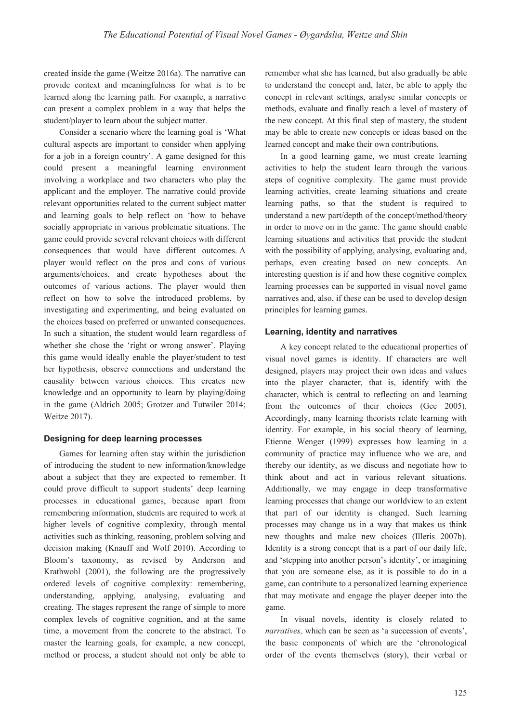created inside the game (Weitze 2016a). The narrative can provide context and meaningfulness for what is to be learned along the learning path. For example, a narrative can present a complex problem in a way that helps the student/player to learn about the subject matter.

Consider a scenario where the learning goal is 'What cultural aspects are important to consider when applying for a job in a foreign country'. A game designed for this could present a meaningful learning environment involving a workplace and two characters who play the applicant and the employer. The narrative could provide relevant opportunities related to the current subject matter and learning goals to help reflect on 'how to behave socially appropriate in various problematic situations. The game could provide several relevant choices with different consequences that would have different outcomes. A player would reflect on the pros and cons of various arguments/choices, and create hypotheses about the outcomes of various actions. The player would then reflect on how to solve the introduced problems, by investigating and experimenting, and being evaluated on the choices based on preferred or unwanted consequences. In such a situation, the student would learn regardless of whether she chose the 'right or wrong answer'. Playing this game would ideally enable the player/student to test her hypothesis, observe connections and understand the causality between various choices. This creates new knowledge and an opportunity to learn by playing/doing in the game (Aldrich 2005; Grotzer and Tutwiler 2014; Weitze 2017).

#### **Designing for deep learning processes**

Games for learning often stay within the jurisdiction of introducing the student to new information/knowledge about a subject that they are expected to remember. It could prove difficult to support students' deep learning processes in educational games, because apart from remembering information, students are required to work at higher levels of cognitive complexity, through mental activities such as thinking, reasoning, problem solving and decision making (Knauff and Wolf 2010). According to Bloom's taxonomy, as revised by Anderson and Krathwohl (2001), the following are the progressively ordered levels of cognitive complexity: remembering, understanding, applying, analysing, evaluating and creating. The stages represent the range of simple to more complex levels of cognitive cognition, and at the same time, a movement from the concrete to the abstract. To master the learning goals, for example, a new concept, method or process, a student should not only be able to

remember what she has learned, but also gradually be able to understand the concept and, later, be able to apply the concept in relevant settings, analyse similar concepts or methods, evaluate and finally reach a level of mastery of the new concept. At this final step of mastery, the student may be able to create new concepts or ideas based on the learned concept and make their own contributions.

In a good learning game, we must create learning activities to help the student learn through the various steps of cognitive complexity. The game must provide learning activities, create learning situations and create learning paths, so that the student is required to understand a new part/depth of the concept/method/theory in order to move on in the game. The game should enable learning situations and activities that provide the student with the possibility of applying, analysing, evaluating and, perhaps, even creating based on new concepts. An interesting question is if and how these cognitive complex learning processes can be supported in visual novel game narratives and, also, if these can be used to develop design principles for learning games.

#### **Learning, identity and narratives**

A key concept related to the educational properties of visual novel games is identity. If characters are well designed, players may project their own ideas and values into the player character, that is, identify with the character, which is central to reflecting on and learning from the outcomes of their choices (Gee 2005). Accordingly, many learning theorists relate learning with identity. For example, in his social theory of learning, Etienne Wenger (1999) expresses how learning in a community of practice may influence who we are, and thereby our identity, as we discuss and negotiate how to think about and act in various relevant situations. Additionally, we may engage in deep transformative learning processes that change our worldview to an extent that part of our identity is changed. Such learning processes may change us in a way that makes us think new thoughts and make new choices (Illeris 2007b). Identity is a strong concept that is a part of our daily life, and 'stepping into another person's identity', or imagining that you are someone else, as it is possible to do in a game, can contribute to a personalized learning experience that may motivate and engage the player deeper into the game.

In visual novels, identity is closely related to *narratives,* which can be seen as 'a succession of events', the basic components of which are the 'chronological order of the events themselves (story), their verbal or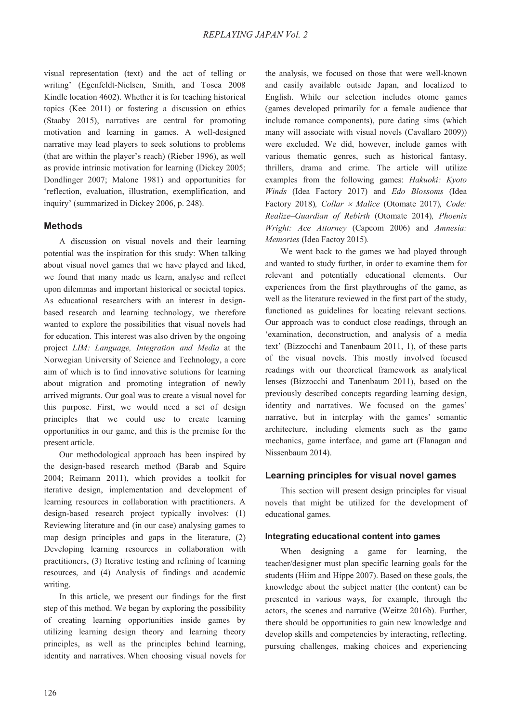visual representation (text) and the act of telling or writing' (Egenfeldt-Nielsen, Smith, and Tosca 2008 Kindle location 4602). Whether it is for teaching historical topics (Kee 2011) or fostering a discussion on ethics (Staaby 2015), narratives are central for promoting motivation and learning in games. A well-designed narrative may lead players to seek solutions to problems (that are within the player's reach) (Rieber 1996), as well as provide intrinsic motivation for learning (Dickey 2005; Dondlinger 2007; Malone 1981) and opportunities for 'reflection, evaluation, illustration, exemplification, and inquiry' (summarized in Dickey 2006, p. 248).

# **Methods**

A discussion on visual novels and their learning potential was the inspiration for this study: When talking about visual novel games that we have played and liked, we found that many made us learn, analyse and reflect upon dilemmas and important historical or societal topics. As educational researchers with an interest in designbased research and learning technology, we therefore wanted to explore the possibilities that visual novels had for education. This interest was also driven by the ongoing project *LIM: Language, Integration and Media* at the Norwegian University of Science and Technology, a core aim of which is to find innovative solutions for learning about migration and promoting integration of newly arrived migrants. Our goal was to create a visual novel for this purpose. First, we would need a set of design principles that we could use to create learning opportunities in our game, and this is the premise for the present article.

Our methodological approach has been inspired by the design-based research method (Barab and Squire 2004; Reimann 2011), which provides a toolkit for iterative design, implementation and development of learning resources in collaboration with practitioners. A design-based research project typically involves: (1) Reviewing literature and (in our case) analysing games to map design principles and gaps in the literature, (2) Developing learning resources in collaboration with practitioners, (3) Iterative testing and refining of learning resources, and (4) Analysis of findings and academic writing.

In this article, we present our findings for the first step of this method. We began by exploring the possibility of creating learning opportunities inside games by utilizing learning design theory and learning theory principles, as well as the principles behind learning, identity and narratives. When choosing visual novels for the analysis, we focused on those that were well-known and easily available outside Japan, and localized to English. While our selection includes otome games (games developed primarily for a female audience that include romance components), pure dating sims (which many will associate with visual novels (Cavallaro 2009)) were excluded. We did, however, include games with various thematic genres, such as historical fantasy, thrillers, drama and crime. The article will utilize examples from the following games: *Hakuoki: Kyoto Winds* (Idea Factory 2017) and *Edo Blossoms* (Idea Factory 2018), Collar  $\times$  *Malice* (Otomate 2017), Code: *Realize–Guardian of Rebirth* (Otomate 2014)*, Phoenix Wright: Ace Attorney* (Capcom 2006) and *Amnesia: Memories* (Idea Factoy 2015)*.* 

We went back to the games we had played through and wanted to study further, in order to examine them for relevant and potentially educational elements. Our experiences from the first playthroughs of the game, as well as the literature reviewed in the first part of the study, functioned as guidelines for locating relevant sections. Our approach was to conduct close readings, through an 'examination, deconstruction, and analysis of a media text' (Bizzocchi and Tanenbaum 2011, 1), of these parts of the visual novels. This mostly involved focused readings with our theoretical framework as analytical lenses (Bizzocchi and Tanenbaum 2011), based on the previously described concepts regarding learning design, identity and narratives. We focused on the games' narrative, but in interplay with the games' semantic architecture, including elements such as the game mechanics, game interface, and game art (Flanagan and Nissenbaum 2014).

# **Learning principles for visual novel games**

This section will present design principles for visual novels that might be utilized for the development of educational games.

#### **Integrating educational content into games**

When designing a game for learning, the teacher/designer must plan specific learning goals for the students (Hiim and Hippe 2007). Based on these goals, the knowledge about the subject matter (the content) can be presented in various ways, for example, through the actors, the scenes and narrative (Weitze 2016b). Further, there should be opportunities to gain new knowledge and develop skills and competencies by interacting, reflecting, pursuing challenges, making choices and experiencing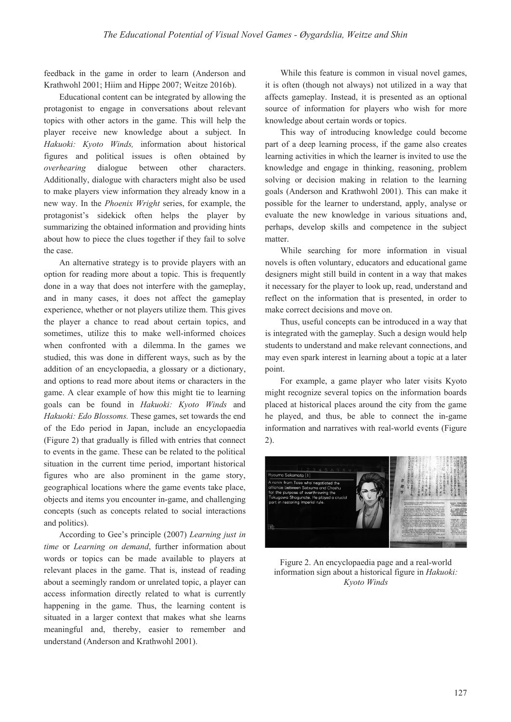feedback in the game in order to learn (Anderson and Krathwohl 2001; Hiim and Hippe 2007; Weitze 2016b).

Educational content can be integrated by allowing the protagonist to engage in conversations about relevant topics with other actors in the game. This will help the player receive new knowledge about a subject. In *Hakuoki: Kyoto Winds,* information about historical figures and political issues is often obtained by *overhearing* dialogue between other characters. Additionally, dialogue with characters might also be used to make players view information they already know in a new way. In the *Phoenix Wright* series, for example, the protagonist's sidekick often helps the player by summarizing the obtained information and providing hints about how to piece the clues together if they fail to solve the case.

An alternative strategy is to provide players with an option for reading more about a topic. This is frequently done in a way that does not interfere with the gameplay, and in many cases, it does not affect the gameplay experience, whether or not players utilize them. This gives the player a chance to read about certain topics, and sometimes, utilize this to make well-informed choices when confronted with a dilemma. In the games we studied, this was done in different ways, such as by the addition of an encyclopaedia, a glossary or a dictionary, and options to read more about items or characters in the game. A clear example of how this might tie to learning goals can be found in *Hakuoki: Kyoto Winds* and *Hakuoki: Edo Blossoms.* These games, set towards the end of the Edo period in Japan, include an encyclopaedia (Figure 2) that gradually is filled with entries that connect to events in the game. These can be related to the political situation in the current time period, important historical figures who are also prominent in the game story, geographical locations where the game events take place, objects and items you encounter in-game, and challenging concepts (such as concepts related to social interactions and politics).

According to Gee's principle (2007) *Learning just in time* or *Learning on demand*, further information about words or topics can be made available to players at relevant places in the game. That is, instead of reading about a seemingly random or unrelated topic, a player can access information directly related to what is currently happening in the game. Thus, the learning content is situated in a larger context that makes what she learns meaningful and, thereby, easier to remember and understand (Anderson and Krathwohl 2001).

While this feature is common in visual novel games, it is often (though not always) not utilized in a way that affects gameplay. Instead, it is presented as an optional source of information for players who wish for more knowledge about certain words or topics.

This way of introducing knowledge could become part of a deep learning process, if the game also creates learning activities in which the learner is invited to use the knowledge and engage in thinking, reasoning, problem solving or decision making in relation to the learning goals (Anderson and Krathwohl 2001). This can make it possible for the learner to understand, apply, analyse or evaluate the new knowledge in various situations and, perhaps, develop skills and competence in the subject matter.

While searching for more information in visual novels is often voluntary, educators and educational game designers might still build in content in a way that makes it necessary for the player to look up, read, understand and reflect on the information that is presented, in order to make correct decisions and move on.

Thus, useful concepts can be introduced in a way that is integrated with the gameplay. Such a design would help students to understand and make relevant connections, and may even spark interest in learning about a topic at a later point.

For example, a game player who later visits Kyoto might recognize several topics on the information boards placed at historical places around the city from the game he played, and thus, be able to connect the in-game information and narratives with real-world events (Figure 2).



Figure 2. An encyclopaedia page and a real-world information sign about a historical figure in *Hakuoki: Kyoto Winds*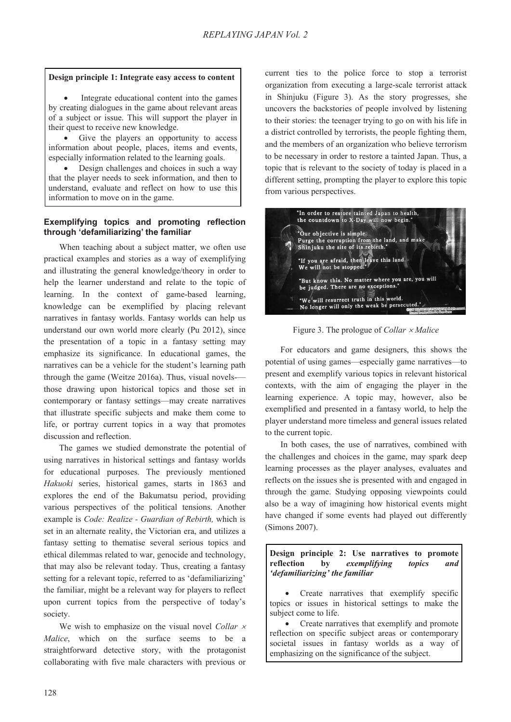#### **Design principle 1: Integrate easy access to content**

Integrate educational content into the games by creating dialogues in the game about relevant areas of a subject or issue. This will support the player in their quest to receive new knowledge.

Give the players an opportunity to access information about people, places, items and events, especially information related to the learning goals.

Design challenges and choices in such a way that the player needs to seek information, and then to understand, evaluate and reflect on how to use this information to move on in the game.

#### **Exemplifying topics and promoting reflection through 'defamiliarizing' the familiar**

When teaching about a subject matter, we often use practical examples and stories as a way of exemplifying and illustrating the general knowledge/theory in order to help the learner understand and relate to the topic of learning. In the context of game-based learning, knowledge can be exemplified by placing relevant narratives in fantasy worlds. Fantasy worlds can help us understand our own world more clearly (Pu 2012), since the presentation of a topic in a fantasy setting may emphasize its significance. In educational games, the narratives can be a vehicle for the student's learning path through the game (Weitze 2016a). Thus, visual novels- those drawing upon historical topics and those set in contemporary or fantasy settings—may create narratives that illustrate specific subjects and make them come to life, or portray current topics in a way that promotes discussion and reflection.

The games we studied demonstrate the potential of using narratives in historical settings and fantasy worlds for educational purposes. The previously mentioned *Hakuoki* series, historical games, starts in 1863 and explores the end of the Bakumatsu period, providing various perspectives of the political tensions. Another example is *Code: Realize - Guardian of Rebirth,* which is set in an alternate reality, the Victorian era, and utilizes a fantasy setting to thematise several serious topics and ethical dilemmas related to war, genocide and technology, that may also be relevant today. Thus, creating a fantasy setting for a relevant topic, referred to as 'defamiliarizing' the familiar, might be a relevant way for players to reflect upon current topics from the perspective of today's society.

We wish to emphasize on the visual novel *Collar x Malice*, which on the surface seems to be a straightforward detective story, with the protagonist collaborating with five male characters with previous or current ties to the police force to stop a terrorist organization from executing a large-scale terrorist attack in Shinjuku (Figure 3). As the story progresses, she uncovers the backstories of people involved by listening to their stories: the teenager trying to go on with his life in a district controlled by terrorists, the people fighting them, and the members of an organization who believe terrorism to be necessary in order to restore a tainted Japan. Thus, a topic that is relevant to the society of today is placed in a different setting, prompting the player to explore this topic from various perspectives.



Figure 3. The prologue of *Collar × Malice* 

For educators and game designers, this shows the potential of using games—especially game narratives—to present and exemplify various topics in relevant historical contexts, with the aim of engaging the player in the learning experience. A topic may, however, also be exemplified and presented in a fantasy world, to help the player understand more timeless and general issues related to the current topic.

In both cases, the use of narratives, combined with the challenges and choices in the game, may spark deep learning processes as the player analyses, evaluates and reflects on the issues she is presented with and engaged in through the game. Studying opposing viewpoints could also be a way of imagining how historical events might have changed if some events had played out differently (Simons 2007).

**Design principle 2: Use narratives to promote reflection by** *exemplifying topics and 'defamiliarizing' the familiar* 

Create narratives that exemplify specific topics or issues in historical settings to make the subject come to life.

Create narratives that exemplify and promote reflection on specific subject areas or contemporary societal issues in fantasy worlds as a way of emphasizing on the significance of the subject.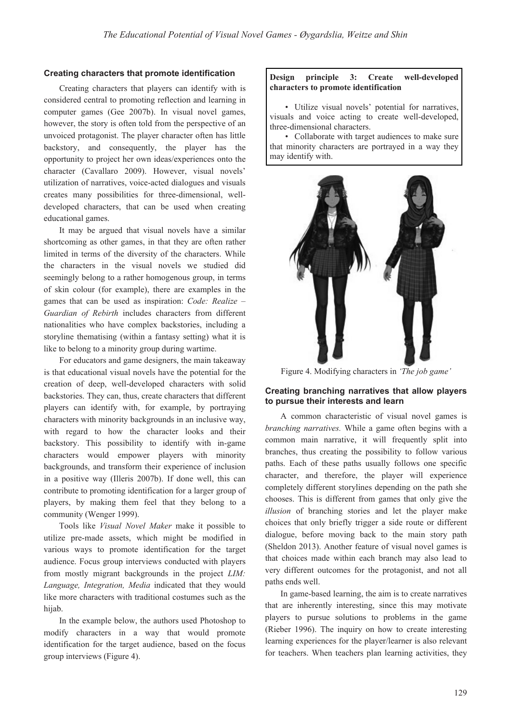#### **Creating characters that promote identification**

Creating characters that players can identify with is considered central to promoting reflection and learning in computer games (Gee 2007b). In visual novel games, however, the story is often told from the perspective of an unvoiced protagonist. The player character often has little backstory, and consequently, the player has the opportunity to project her own ideas/experiences onto the character (Cavallaro 2009). However, visual novels' utilization of narratives, voice-acted dialogues and visuals creates many possibilities for three-dimensional, welldeveloped characters, that can be used when creating educational games.

It may be argued that visual novels have a similar shortcoming as other games, in that they are often rather limited in terms of the diversity of the characters. While the characters in the visual novels we studied did seemingly belong to a rather homogenous group, in terms of skin colour (for example), there are examples in the games that can be used as inspiration: *Code: Realize – Guardian of Rebirth* includes characters from different nationalities who have complex backstories, including a storyline thematising (within a fantasy setting) what it is like to belong to a minority group during wartime.

For educators and game designers, the main takeaway is that educational visual novels have the potential for the creation of deep, well-developed characters with solid backstories. They can, thus, create characters that different players can identify with, for example, by portraying characters with minority backgrounds in an inclusive way, with regard to how the character looks and their backstory. This possibility to identify with in-game characters would empower players with minority backgrounds, and transform their experience of inclusion in a positive way (Illeris 2007b). If done well, this can contribute to promoting identification for a larger group of players, by making them feel that they belong to a community (Wenger 1999).

Tools like *Visual Novel Maker* make it possible to utilize pre-made assets, which might be modified in various ways to promote identification for the target audience. Focus group interviews conducted with players from mostly migrant backgrounds in the project *LIM: Language, Integration, Media* indicated that they would like more characters with traditional costumes such as the hijab.

In the example below, the authors used Photoshop to modify characters in a way that would promote identification for the target audience, based on the focus group interviews (Figure 4).

#### **Design principle 3: Create well-developed characters to promote identification**

• Utilize visual novels' potential for narratives, visuals and voice acting to create well-developed, three-dimensional characters.

• Collaborate with target audiences to make sure that minority characters are portrayed in a way they may identify with.



Figure 4. Modifying characters in *'The job game'*

#### **Creating branching narratives that allow players to pursue their interests and learn**

A common characteristic of visual novel games is *branching narratives.* While a game often begins with a common main narrative, it will frequently split into branches, thus creating the possibility to follow various paths. Each of these paths usually follows one specific character, and therefore, the player will experience completely different storylines depending on the path she chooses. This is different from games that only give the *illusion* of branching stories and let the player make choices that only briefly trigger a side route or different dialogue, before moving back to the main story path (Sheldon 2013). Another feature of visual novel games is that choices made within each branch may also lead to very different outcomes for the protagonist, and not all paths ends well.

In game-based learning, the aim is to create narratives that are inherently interesting, since this may motivate players to pursue solutions to problems in the game (Rieber 1996). The inquiry on how to create interesting learning experiences for the player/learner is also relevant for teachers. When teachers plan learning activities, they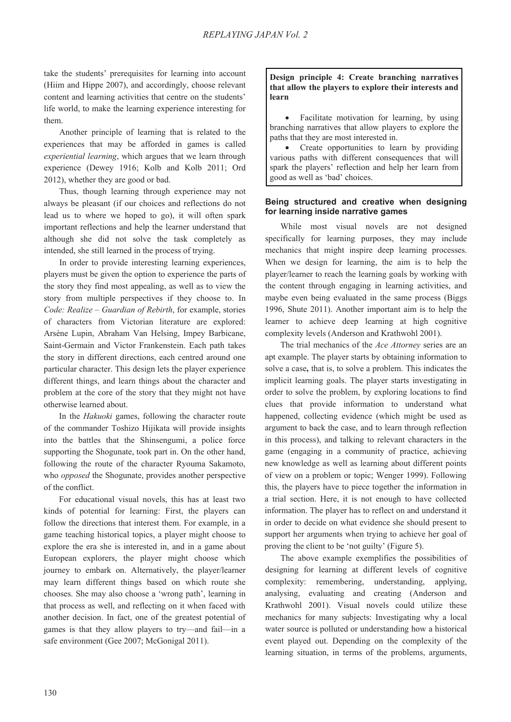take the students' prerequisites for learning into account (Hiim and Hippe 2007), and accordingly, choose relevant content and learning activities that centre on the students' life world, to make the learning experience interesting for them.

Another principle of learning that is related to the experiences that may be afforded in games is called *experiential learning*, which argues that we learn through experience (Dewey 1916; Kolb and Kolb 2011; Ord 2012), whether they are good or bad.

Thus, though learning through experience may not always be pleasant (if our choices and reflections do not lead us to where we hoped to go), it will often spark important reflections and help the learner understand that although she did not solve the task completely as intended, she still learned in the process of trying.

In order to provide interesting learning experiences, players must be given the option to experience the parts of the story they find most appealing, as well as to view the story from multiple perspectives if they choose to. In *Code: Realize – Guardian of Rebirth*, for example, stories of characters from Victorian literature are explored: Arsène Lupin, Abraham Van Helsing, Impey Barbicane, Saint-Germain and Victor Frankenstein. Each path takes the story in different directions, each centred around one particular character. This design lets the player experience different things, and learn things about the character and problem at the core of the story that they might not have otherwise learned about.

In the *Hakuoki* games, following the character route of the commander Toshizo Hijikata will provide insights into the battles that the Shinsengumi, a police force supporting the Shogunate, took part in. On the other hand, following the route of the character Ryouma Sakamoto, who *opposed* the Shogunate, provides another perspective of the conflict.

For educational visual novels, this has at least two kinds of potential for learning: First, the players can follow the directions that interest them. For example, in a game teaching historical topics, a player might choose to explore the era she is interested in, and in a game about European explorers, the player might choose which journey to embark on. Alternatively, the player/learner may learn different things based on which route she chooses. She may also choose a 'wrong path', learning in that process as well, and reflecting on it when faced with another decision. In fact, one of the greatest potential of games is that they allow players to try—and fail—in a safe environment (Gee 2007; McGonigal 2011).

### **Design principle 4: Create branching narratives that allow the players to explore their interests and learn**

Facilitate motivation for learning, by using branching narratives that allow players to explore the paths that they are most interested in.

Create opportunities to learn by providing various paths with different consequences that will spark the players' reflection and help her learn from good as well as 'bad' choices.

### **Being structured and creative when designing for learning inside narrative games**

While most visual novels are not designed specifically for learning purposes, they may include mechanics that might inspire deep learning processes. When we design for learning, the aim is to help the player/learner to reach the learning goals by working with the content through engaging in learning activities, and maybe even being evaluated in the same process (Biggs 1996, Shute 2011). Another important aim is to help the learner to achieve deep learning at high cognitive complexity levels (Anderson and Krathwohl 2001).

The trial mechanics of the *Ace Attorney* series are an apt example. The player starts by obtaining information to solve a case**,** that is, to solve a problem. This indicates the implicit learning goals. The player starts investigating in order to solve the problem, by exploring locations to find clues that provide information to understand what happened, collecting evidence (which might be used as argument to back the case, and to learn through reflection in this process), and talking to relevant characters in the game (engaging in a community of practice, achieving new knowledge as well as learning about different points of view on a problem or topic; Wenger 1999). Following this, the players have to piece together the information in a trial section. Here, it is not enough to have collected information. The player has to reflect on and understand it in order to decide on what evidence she should present to support her arguments when trying to achieve her goal of proving the client to be 'not guilty' (Figure 5).

The above example exemplifies the possibilities of designing for learning at different levels of cognitive complexity: remembering, understanding, applying, analysing, evaluating and creating (Anderson and Krathwohl 2001). Visual novels could utilize these mechanics for many subjects: Investigating why a local water source is polluted or understanding how a historical event played out. Depending on the complexity of the learning situation, in terms of the problems, arguments,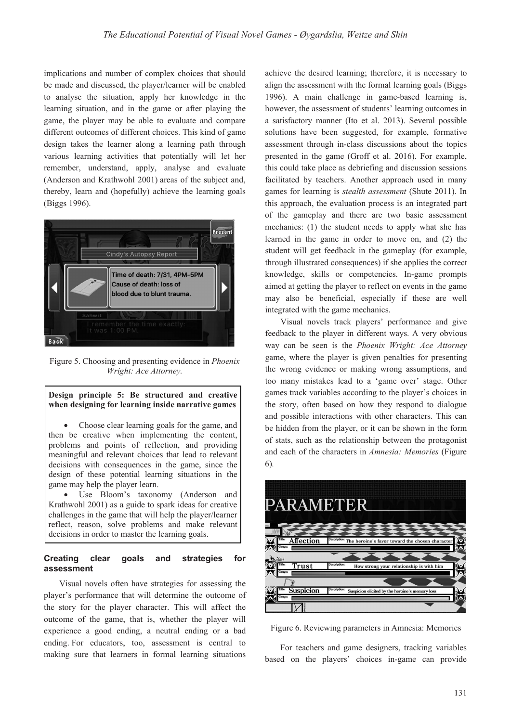implications and number of complex choices that should be made and discussed, the player/learner will be enabled to analyse the situation, apply her knowledge in the learning situation, and in the game or after playing the game, the player may be able to evaluate and compare different outcomes of different choices. This kind of game design takes the learner along a learning path through various learning activities that potentially will let her remember, understand, apply, analyse and evaluate (Anderson and Krathwohl 2001) areas of the subject and, thereby, learn and (hopefully) achieve the learning goals (Biggs 1996).



Figure 5. Choosing and presenting evidence in *Phoenix Wright: Ace Attorney.*

#### **Design principle 5: Be structured and creative when designing for learning inside narrative games**

Choose clear learning goals for the game, and then be creative when implementing the content, problems and points of reflection, and providing meaningful and relevant choices that lead to relevant decisions with consequences in the game, since the design of these potential learning situations in the game may help the player learn.

• Use Bloom's taxonomy (Anderson and Krathwohl 2001) as a guide to spark ideas for creative challenges in the game that will help the player/learner reflect, reason, solve problems and make relevant decisions in order to master the learning goals.

### **Creating clear goals and strategies for assessment**

Visual novels often have strategies for assessing the player's performance that will determine the outcome of the story for the player character. This will affect the outcome of the game, that is, whether the player will experience a good ending, a neutral ending or a bad ending. For educators, too, assessment is central to making sure that learners in formal learning situations achieve the desired learning; therefore, it is necessary to align the assessment with the formal learning goals (Biggs 1996). A main challenge in game-based learning is, however, the assessment of students' learning outcomes in a satisfactory manner (Ito et al. 2013). Several possible solutions have been suggested, for example, formative assessment through in-class discussions about the topics presented in the game (Groff et al. 2016). For example, this could take place as debriefing and discussion sessions facilitated by teachers. Another approach used in many games for learning is *stealth assessment* (Shute 2011). In this approach, the evaluation process is an integrated part of the gameplay and there are two basic assessment mechanics: (1) the student needs to apply what she has learned in the game in order to move on, and (2) the student will get feedback in the gameplay (for example, through illustrated consequences) if she applies the correct knowledge, skills or competencies. In-game prompts aimed at getting the player to reflect on events in the game may also be beneficial, especially if these are well integrated with the game mechanics.

Visual novels track players' performance and give feedback to the player in different ways. A very obvious way can be seen is the *Phoenix Wright: Ace Attorney* game, where the player is given penalties for presenting the wrong evidence or making wrong assumptions, and too many mistakes lead to a 'game over' stage. Other games track variables according to the player's choices in the story, often based on how they respond to dialogue and possible interactions with other characters. This can be hidden from the player, or it can be shown in the form of stats, such as the relationship between the protagonist and each of the characters in *Amnesia: Memories* (Figure 6)*.*



Figure 6. Reviewing parameters in Amnesia: Memories

For teachers and game designers, tracking variables based on the players' choices in-game can provide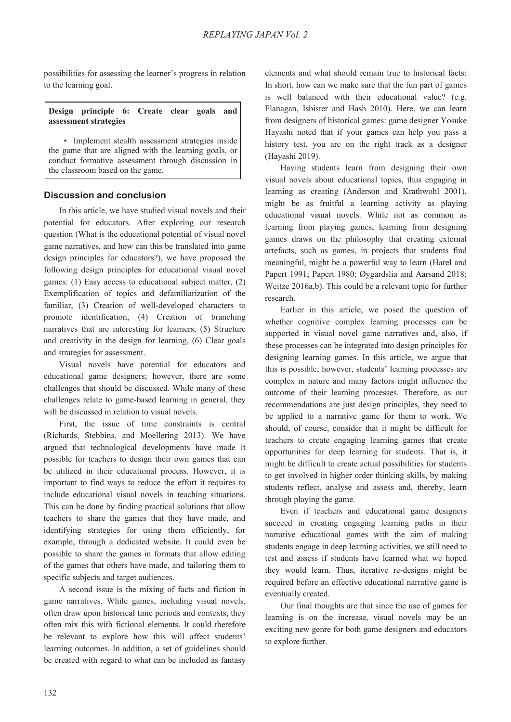possibilities for assessing the learner's progress in relation to the learning goal.

### **Design principle 6: Create clear goals and assessment strategies**

• Implement stealth assessment strategies inside the game that are aligned with the learning goals, or conduct formative assessment through discussion in the classroom based on the game.

# **Discussion and conclusion**

In this article, we have studied visual novels and their potential for educators. After exploring our research question (What is the educational potential of visual novel game narratives, and how can this be translated into game design principles for educators?), we have proposed the following design principles for educational visual novel games: (1) Easy access to educational subject matter, (2) Exemplification of topics and defamiliarization of the familiar, (3) Creation of well-developed characters to promote identification, (4) Creation of branching narratives that are interesting for learners, (5) Structure and creativity in the design for learning, (6) Clear goals and strategies for assessment.

Visual novels have potential for educators and educational game designers; however, there are some challenges that should be discussed. While many of these challenges relate to game-based learning in general, they will be discussed in relation to visual novels.

First, the issue of time constraints is central (Richards, Stebbins, and Moellering 2013). We have argued that technological developments have made it possible for teachers to design their own games that can be utilized in their educational process. However, it is important to find ways to reduce the effort it requires to include educational visual novels in teaching situations. This can be done by finding practical solutions that allow teachers to share the games that they have made, and identifying strategies for using them efficiently, for example, through a dedicated website. It could even be possible to share the games in formats that allow editing of the games that others have made, and tailoring them to specific subjects and target audiences.

A second issue is the mixing of facts and fiction in game narratives. While games, including visual novels, often draw upon historical time periods and contexts, they often mix this with fictional elements. It could therefore be relevant to explore how this will affect students' learning outcomes. In addition, a set of guidelines should be created with regard to what can be included as fantasy

elements and what should remain true to historical facts: In short, how can we make sure that the fun part of games is well balanced with their educational value? (e.g. Flanagan, Isbister and Hash 2010). Here, we can learn from designers of historical games: game designer Yosuke Hayashi noted that if your games can help you pass a history test, you are on the right track as a designer (Hayashi 2019).

Having students learn from designing their own visual novels about educational topics, thus engaging in learning as creating (Anderson and Krathwohl 2001), might be as fruitful a learning activity as playing educational visual novels. While not as common as learning from playing games, learning from designing games draws on the philosophy that creating external artefacts, such as games, in projects that students find meaningful, might be a powerful way to learn (Harel and Papert 1991; Papert 1980; Øygardslia and Aarsand 2018; Weitze 2016a,b). This could be a relevant topic for further research.

Earlier in this article, we posed the question of whether cognitive complex learning processes can be supported in visual novel game narratives and, also, if these processes can be integrated into design principles for designing learning games. In this article, we argue that this is possible; however, students' learning processes are complex in nature and many factors might influence the outcome of their learning processes. Therefore, as our recommendations are just design principles, they need to be applied to a narrative game for them to work. We should, of course, consider that it might be difficult for teachers to create engaging learning games that create opportunities for deep learning for students. That is, it might be difficult to create actual possibilities for students to get involved in higher order thinking skills, by making students reflect, analyse and assess and, thereby, learn through playing the game.

Even if teachers and educational game designers succeed in creating engaging learning paths in their narrative educational games with the aim of making students engage in deep learning activities, we still need to test and assess if students have learned what we hoped they would learn. Thus, iterative re-designs might be required before an effective educational narrative game is eventually created.

Our final thoughts are that since the use of games for learning is on the increase, visual novels may be an exciting new genre for both game designers and educators to explore further.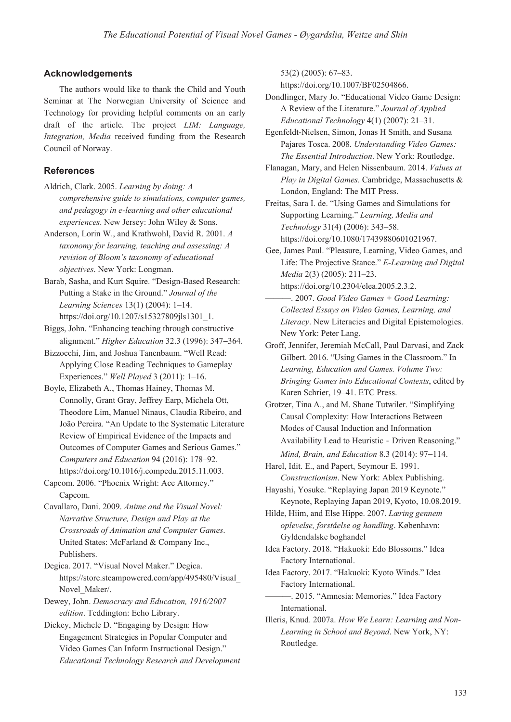# **Acknowledgements**

The authors would like to thank the Child and Youth Seminar at The Norwegian University of Science and Technology for providing helpful comments on an early draft of the article. The project *LIM: Language, Integration, Media* received funding from the Research Council of Norway.

# **References**

- Aldrich, Clark. 2005. *Learning by doing: A comprehensive guide to simulations, computer games, and pedagogy in e-learning and other educational experiences*. New Jersey: John Wiley & Sons.
- Anderson, Lorin W., and Krathwohl, David R. 2001. *A taxonomy for learning, teaching and assessing: A revision of Bloom's taxonomy of educational objectives*. New York: Longman.

Barab, Sasha, and Kurt Squire. "Design-Based Research: Putting a Stake in the Ground." *Journal of the Learning Sciences* 13(1) (2004): 1–14. https://doi.org/10.1207/s15327809jls1301\_1.

Biggs, John. "Enhancing teaching through constructive alignment." *Higher Education* 32.3 (1996): 347–364.

Bizzocchi, Jim, and Joshua Tanenbaum. "Well Read: Applying Close Reading Techniques to Gameplay Experiences." *Well Played* 3 (2011): 1–16.

Boyle, Elizabeth A., Thomas Hainey, Thomas M. Connolly, Grant Gray, Jeffrey Earp, Michela Ott, Theodore Lim, Manuel Ninaus, Claudia Ribeiro, and João Pereira. "An Update to the Systematic Literature Review of Empirical Evidence of the Impacts and Outcomes of Computer Games and Serious Games." *Computers and Education* 94 (2016): 178–92. https://doi.org/10.1016/j.compedu.2015.11.003.

Capcom. 2006. "Phoenix Wright: Ace Attorney." Capcom.

Cavallaro, Dani. 2009. *Anime and the Visual Novel: Narrative Structure, Design and Play at the Crossroads of Animation and Computer Games*. United States: McFarland & Company Inc., Publishers.

Degica. 2017. "Visual Novel Maker." Degica. https://store.steampowered.com/app/495480/Visual\_ Novel\_Maker/.

Dewey, John. *Democracy and Education, 1916/2007 edition*. Teddington: Echo Library.

Dickey, Michele D. "Engaging by Design: How Engagement Strategies in Popular Computer and Video Games Can Inform Instructional Design." *Educational Technology Research and Development* 53(2) (2005): 67–83.

https://doi.org/10.1007/BF02504866.

- Dondlinger, Mary Jo. "Educational Video Game Design: A Review of the Literature." *Journal of Applied Educational Technology* 4(1) (2007): 21–31.
- Egenfeldt-Nielsen, Simon, Jonas H Smith, and Susana Pajares Tosca. 2008. *Understanding Video Games: The Essential Introduction*. New York: Routledge.
- Flanagan, Mary, and Helen Nissenbaum. 2014. *Values at Play in Digital Games*. Cambridge, Massachusetts & London, England: The MIT Press.

Freitas, Sara I. de. "Using Games and Simulations for Supporting Learning." *Learning, Media and Technology* 31(4) (2006): 343–58. https://doi.org/10.1080/17439880601021967.

- Gee, James Paul. "Pleasure, Learning, Video Games, and Life: The Projective Stance." *E-Learning and Digital Media* 2(3) (2005): 211–23.
- https://doi.org/10.2304/elea.2005.2.3.2. ———. 2007. *Good Video Games + Good Learning: Collected Essays on Video Games, Learning, and Literacy*. New Literacies and Digital Epistemologies. New York: Peter Lang.
- Groff, Jennifer, Jeremiah McCall, Paul Darvasi, and Zack Gilbert. 2016. "Using Games in the Classroom." In *Learning, Education and Games. Volume Two: Bringing Games into Educational Contexts*, edited by Karen Schrier, 19–41. ETC Press.

Grotzer, Tina A., and M. Shane Tutwiler. "Simplifying Causal Complexity: How Interactions Between Modes of Causal Induction and Information Availability Lead to Heuristic - Driven Reasoning." *Mind, Brain, and Education* 8.3 (2014): 97-114.

Harel, Idit. E., and Papert, Seymour E. 1991. *Constructionism*. New York: Ablex Publishing.

Hayashi, Yosuke. "Replaying Japan 2019 Keynote." Keynote, Replaying Japan 2019, Kyoto, 10.08.2019.

Hilde, Hiim, and Else Hippe. 2007. *Læring gennem oplevelse, forståelse og handling*. København: Gyldendalske boghandel

Idea Factory. 2018. "Hakuoki: Edo Blossoms." Idea Factory International.

- Idea Factory. 2017. "Hakuoki: Kyoto Winds." Idea Factory International.
	- ———. 2015. "Amnesia: Memories." Idea Factory International.

Illeris, Knud. 2007a. *How We Learn: Learning and Non-Learning in School and Beyond*. New York, NY: Routledge.